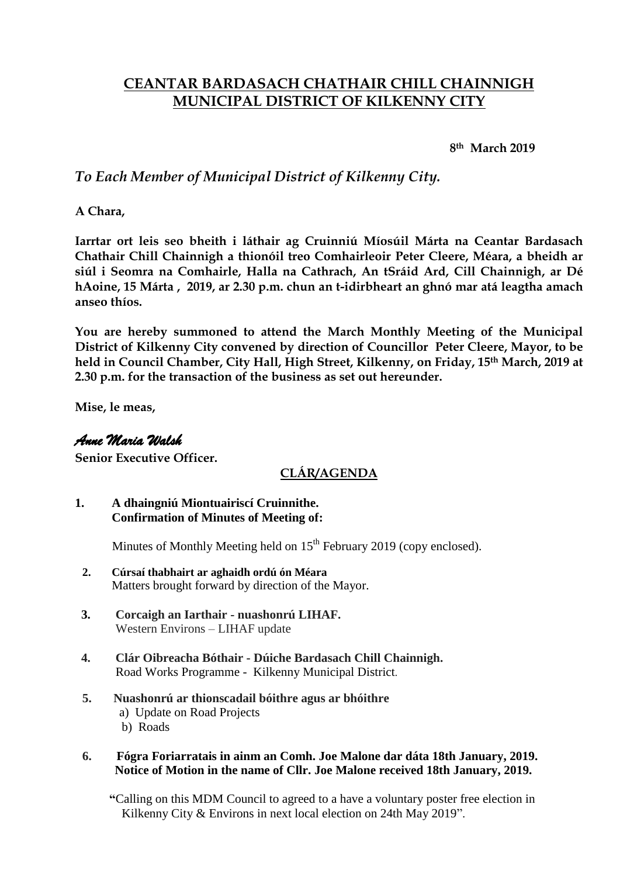# **CEANTAR BARDASACH CHATHAIR CHILL CHAINNIGH MUNICIPAL DISTRICT OF KILKENNY CITY**

**8th March 2019**

### *To Each Member of Municipal District of Kilkenny City.*

**A Chara,**

**Iarrtar ort leis seo bheith i láthair ag Cruinniú Míosúil Márta na Ceantar Bardasach Chathair Chill Chainnigh a thionóil treo Comhairleoir Peter Cleere, Méara, a bheidh ar siúl i Seomra na Comhairle, Halla na Cathrach, An tSráid Ard, Cill Chainnigh, ar Dé hAoine, 15 Márta , 2019, ar 2.30 p.m. chun an t-idirbheart an ghnó mar atá leagtha amach anseo thíos.**

**You are hereby summoned to attend the March Monthly Meeting of the Municipal District of Kilkenny City convened by direction of Councillor Peter Cleere, Mayor, to be held in Council Chamber, City Hall, High Street, Kilkenny, on Friday, 15th March, 2019 at 2.30 p.m. for the transaction of the business as set out hereunder.**

**Mise, le meas,**

### *Anne Maria Walsh*

**Senior Executive Officer.**

## **CLÁR/AGENDA**

#### **1. A dhaingniú Miontuairiscí Cruinnithe. Confirmation of Minutes of Meeting of:**

Minutes of Monthly Meeting held on  $15<sup>th</sup>$  February 2019 (copy enclosed).

- **2. Cúrsaí thabhairt ar aghaidh ordú ón Méara** Matters brought forward by direction of the Mayor.
- **3. Corcaigh an Iarthair - nuashonrú LIHAF.**  Western Environs – LIHAF update
- **4. Clár Oibreacha Bóthair - Dúiche Bardasach Chill Chainnigh.** Road Works Programme - Kilkenny Municipal District.
- **5. Nuashonrú ar thionscadail bóithre agus ar bhóithre** a) Update on Road Projects b) Roads

#### **6. Fógra Foriarratais in ainm an Comh. Joe Malone dar dáta 18th January, 2019. Notice of Motion in the name of Cllr. Joe Malone received 18th January, 2019.**

 **"**Calling on this MDM Council to agreed to a have a voluntary poster free election in Kilkenny City & Environs in next local election on 24th May 2019".